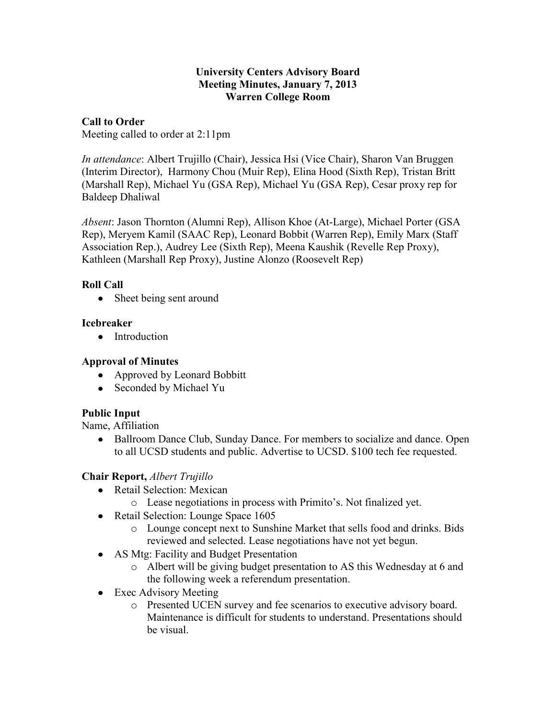#### **University Centers Advisory Board Meeting Minutes, January 7, 2013 Warren College Room**

# **Call to Order**

Meeting called to order at 2:11pm

*In attendance*: Albert Trujillo (Chair), Jessica Hsi (Vice Chair), Sharon Van Bruggen (Interim Director), Harmony Chou (Muir Rep), Elina Hood (Sixth Rep), Tristan Britt (Marshall Rep), Michael Yu (GSA Rep), Michael Yu (GSA Rep), Cesar proxy rep for Baldeep Dhaliwal

*Absent*: Jason Thornton (Alumni Rep), Allison Khoe (At-Large), Michael Porter (GSA Rep), Meryem Kamil (SAAC Rep), Leonard Bobbit (Warren Rep), Emily Marx (Staff Association Rep.), Audrey Lee (Sixth Rep), Meena Kaushik (Revelle Rep Proxy), Kathleen (Marshall Rep Proxy), Justine Alonzo (Roosevelt Rep)

# **Roll Call**

• Sheet being sent around

# **Icebreaker**

• Introduction

# **Approval of Minutes**

- Approved by Leonard Bobbitt
- Seconded by Michael Yu

# **Public Input**

Name, Affiliation

Ballroom Dance Club, Sunday Dance. For members to socialize and dance. Open  $\bullet$ to all UCSD students and public. Advertise to UCSD. \$100 tech fee requested.

# **Chair Report,** *Albert Trujillo*

- Retail Selection: Mexican
	- o Lease negotiations in process with Primito's. Not finalized yet.
- Retail Selection: Lounge Space 1605
	- o Lounge concept next to Sunshine Market that sells food and drinks. Bids reviewed and selected. Lease negotiations have not yet begun.
- AS Mtg: Facility and Budget Presentation
	- o Albert will be giving budget presentation to AS this Wednesday at 6 and the following week a referendum presentation.
- Exec Advisory Meeting
	- o Presented UCEN survey and fee scenarios to executive advisory board. Maintenance is difficult for students to understand. Presentations should be visual.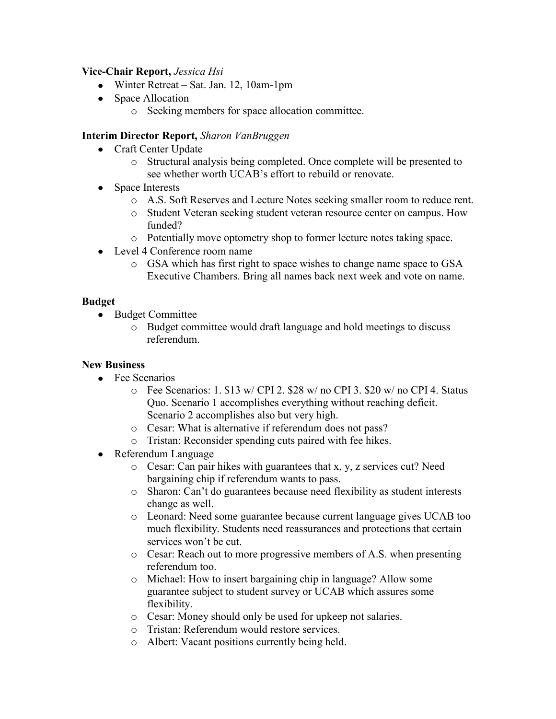#### **Vice-Chair Report,** *Jessica Hsi*

- Winter Retreat Sat. Jan. 12, 10am-1pm
- Space Allocation
	- o Seeking members for space allocation committee.

## **Interim Director Report,** *Sharon VanBruggen*

- Craft Center Update
	- o Structural analysis being completed. Once complete will be presented to see whether worth UCAB's effort to rebuild or renovate.
- Space Interests
	- o A.S. Soft Reserves and Lecture Notes seeking smaller room to reduce rent.
	- o Student Veteran seeking student veteran resource center on campus. How funded?
	- o Potentially move optometry shop to former lecture notes taking space.
- Level 4 Conference room name
	- o GSA which has first right to space wishes to change name space to GSA Executive Chambers. Bring all names back next week and vote on name.

#### **Budget**

- Budget Committee
	- o Budget committee would draft language and hold meetings to discuss referendum.

## **New Business**

- Fee Scenarios
	- o Fee Scenarios: 1. \$13 w/ CPI 2. \$28 w/ no CPI 3. \$20 w/ no CPI 4. Status Quo. Scenario 1 accomplishes everything without reaching deficit. Scenario 2 accomplishes also but very high.
	- o Cesar: What is alternative if referendum does not pass?
	- o Tristan: Reconsider spending cuts paired with fee hikes.
- Referendum Language
	- o Cesar: Can pair hikes with guarantees that x, y, z services cut? Need bargaining chip if referendum wants to pass.
	- o Sharon: Can't do guarantees because need flexibility as student interests change as well.
	- o Leonard: Need some guarantee because current language gives UCAB too much flexibility. Students need reassurances and protections that certain services won't be cut.
	- o Cesar: Reach out to more progressive members of A.S. when presenting referendum too.
	- o Michael: How to insert bargaining chip in language? Allow some guarantee subject to student survey or UCAB which assures some flexibility.
	- o Cesar: Money should only be used for upkeep not salaries.
	- o Tristan: Referendum would restore services.
	- o Albert: Vacant positions currently being held.